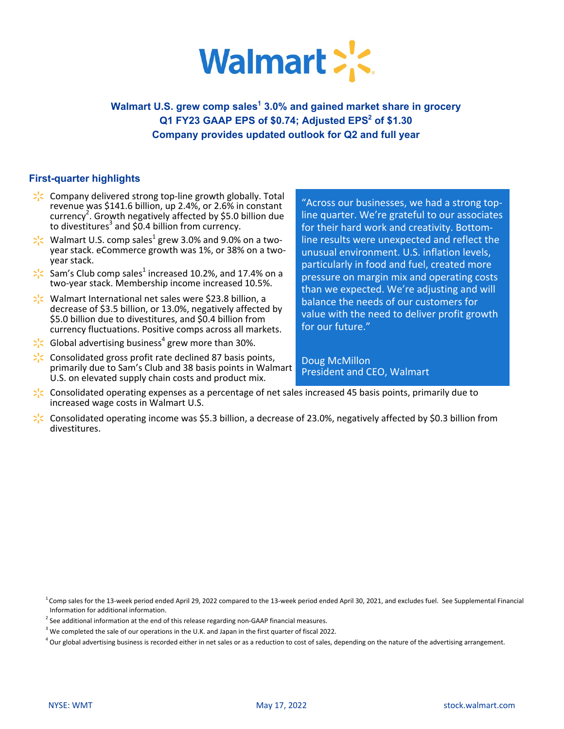

**Walmart U.S. grew comp sales<sup>1</sup> 3.0% and gained market share in grocery Q1 FY23 GAAP EPS of \$0.74; Adjusted EPS<sup>2</sup> of \$1.30 Company provides updated outlook for Q2 and full year**

# **First-quarter highlights**

- $\frac{1}{2}$  Company delivered strong top-line growth globally. Total revenue was \$141.6 billion, up 2.4%, or 2.6% in constant  $\text{currency}^2$ . Growth negatively affected by \$5.0 billion due to divestitures<sup>3</sup> and \$0.4 billion from currency.
- Walmart U.S. comp sales $^1$  grew 3.0% and 9.0% on a twoyear stack. eCommerce growth was 1%, or 38% on a twoyear stack.
- Sam's Club comp sales $^1$  increased 10.2%, and 17.4% on a two-year stack. Membership income increased 10.5%.
- $\frac{1}{2}$  Walmart International net sales were \$23.8 billion, a decrease of \$3.5 billion, or 13.0%, negatively affected by \$5.0 billion due to divestitures, and \$0.4 billion from currency fluctuations. Positive comps across all markets.
- Global advertising business<sup>4</sup> grew more than 30%.
- $\frac{1}{2}$  Consolidated gross profit rate declined 87 basis points, primarily due to Sam's Club and 38 basis points in Walmart U.S. on elevated supply chain costs and product mix.

"Across our businesses, we had a strong topline quarter. We're grateful to our associates for their hard work and creativity. Bottomline results were unexpected and reflect the unusual environment. U.S. inflation levels, particularly in food and fuel, created more pressure on margin mix and operating costs than we expected. We're adjusting and will balance the needs of our customers for value with the need to deliver profit growth for our future."

Doug McMillon President and CEO, Walmart

- $\geq$  Consolidated operating expenses as a percentage of net sales increased 45 basis points, primarily due to increased wage costs in Walmart U.S.
- **Consolidated operating income was \$5.3 billion, a decrease of 23.0%, negatively affected by \$0.3 billion from** divestitures.

 $1$ Comp sales for the 13-week period ended April 29, 2022 compared to the 13-week period ended April 30, 2021, and excludes fuel. See Supplemental Financial Information for additional information.

 $^2$  See additional information at the end of this release regarding non-GAAP financial measures.

 $3$  We completed the sale of our operations in the U.K. and Japan in the first quarter of fiscal 2022.

 $^4$  Our global advertising business is recorded either in net sales or as a reduction to cost of sales, depending on the nature of the advertising arrangement.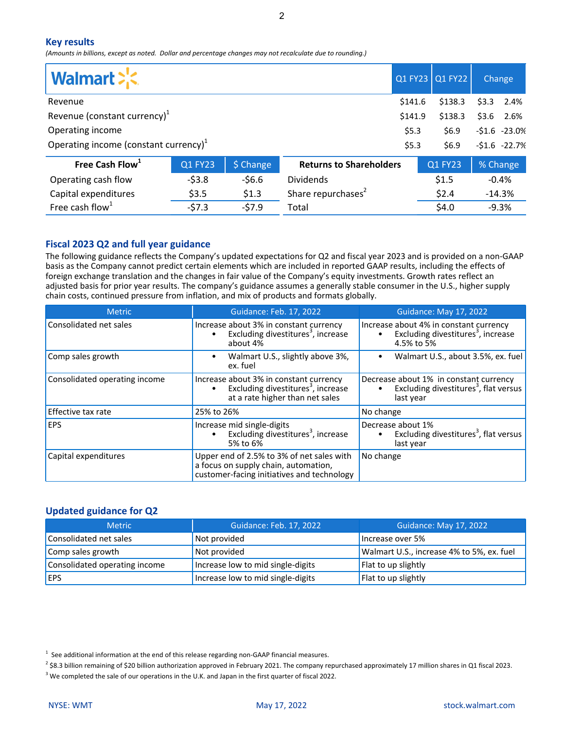### **Key results**

(Amounts in billions, except as noted. Dollar and percentage changes may not recalculate due to rounding.)

| <b>Walmart &gt;'&lt;</b>                 |                |           |                                |         | Q1 FY23 Q1 FY22 |       | Change         |
|------------------------------------------|----------------|-----------|--------------------------------|---------|-----------------|-------|----------------|
| Revenue                                  |                |           |                                | \$141.6 | \$138.3         | \$3.3 | 2.4%           |
| Revenue (constant currency) <sup>1</sup> |                |           |                                | \$141.9 | \$138.3         | \$3.6 | 2.6%           |
| Operating income                         |                |           |                                | \$5.3   | \$6.9           |       | $-51.6 -23.0%$ |
| Operating income (constant currency) $1$ |                |           |                                | \$5.3   | \$6.9           |       | $-51.6 -22.7%$ |
| Free Cash Flow <sup>1</sup>              | <b>Q1 FY23</b> | \$ Change | <b>Returns to Shareholders</b> |         | <b>Q1 FY23</b>  |       | % Change       |
| Operating cash flow                      | $-53.8$        | $-56.6$   | <b>Dividends</b>               |         | \$1.5           |       | $-0.4%$        |
| Capital expenditures                     | \$3.5          | \$1.3     | Share repurchases <sup>2</sup> |         | \$2.4           |       | $-14.3%$       |
| Free cash flow <sup>1</sup>              | $-57.3$        | $-57.9$   | Total                          |         | \$4.0           |       | $-9.3%$        |

#### **Fiscal 2023 Q2 and full year guidance**

The following guidance reflects the Company's updated expectations for Q2 and fiscal year 2023 and is provided on a non-GAAP basis as the Company cannot predict certain elements which are included in reported GAAP results, including the effects of foreign exchange translation and the changes in fair value of the Company's equity investments. Growth rates reflect an adjusted basis for prior year results. The company's guidance assumes a generally stable consumer in the U.S., higher supply chain costs, continued pressure from inflation, and mix of products and formats globally.

| <b>Metric</b>                 | Guidance: Feb. 17, 2022                                                                                                         | <b>Guidance: May 17, 2022</b>                                                                              |
|-------------------------------|---------------------------------------------------------------------------------------------------------------------------------|------------------------------------------------------------------------------------------------------------|
| Consolidated net sales        | Increase about 3% in constant currency<br>Excluding divestitures <sup>3</sup> , increase<br>about 4%                            | Increase about 4% in constant currency<br>• Excluding divestitures <sup>3</sup> , increase<br>4.5% to 5%   |
| Comp sales growth             | Walmart U.S., slightly above 3%,<br>ex. fuel                                                                                    | Walmart U.S., about 3.5%, ex. fuel                                                                         |
| Consolidated operating income | Increase about 3% in constant currency<br>• Excluding divestitures <sup>3</sup> , increase<br>at a rate higher than net sales   | Decrease about 1% in constant currency<br>• Excluding divestitures <sup>3</sup> , flat versus<br>last year |
| Effective tax rate            | 25% to 26%                                                                                                                      | No change                                                                                                  |
| <b>EPS</b>                    | Increase mid single-digits<br>Excluding divestitures <sup>3</sup> , increase<br>5% to 6%                                        | Decrease about 1%<br>Excluding divestitures <sup>3</sup> , flat versus<br>last year                        |
| Capital expenditures          | Upper end of 2.5% to 3% of net sales with<br>a focus on supply chain, automation,<br>customer-facing initiatives and technology | No change                                                                                                  |

## **Updated guidance for Q2**

| <b>Metric</b>                 | Guidance: Feb. 17, 2022           | <b>Guidance: May 17, 2022</b>             |
|-------------------------------|-----------------------------------|-------------------------------------------|
| Consolidated net sales        | Not provided                      | Increase over 5%                          |
| Comp sales growth             | Not provided                      | Walmart U.S., increase 4% to 5%, ex. fuel |
| Consolidated operating income | Increase low to mid single-digits | Flat to up slightly                       |
| <b>EPS</b>                    | Increase low to mid single-digits | Flat to up slightly                       |

 $<sup>1</sup>$  See additional information at the end of this release regarding non-GAAP financial measures.</sup>

 $^2$  \$8.3 billion remaining of \$20 billion authorization approved in February 2021. The company repurchased approximately 17 million shares in Q1 fiscal 2023.  $3$  We completed the sale of our operations in the U.K. and Japan in the first quarter of fiscal 2022.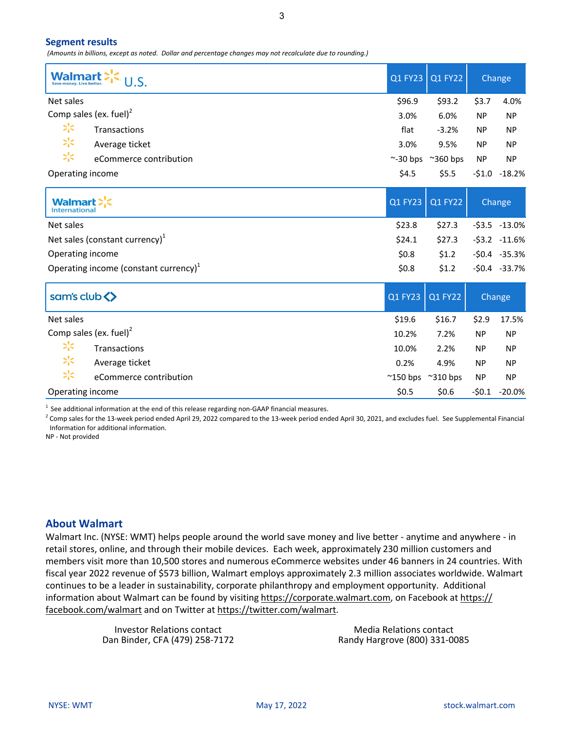#### **Segment results**

*(Amounts in billions, except as noted. Dollar and percentage changes may not recalculate due to rounding.)* 

| Walmart >'<                        | U.S.                   | Q1 FY23 Q1 FY22 |                   | Change    |           |
|------------------------------------|------------------------|-----------------|-------------------|-----------|-----------|
| Net sales                          |                        | \$96.9          | \$93.2            | \$3.7     | 4.0%      |
| Comp sales (ex. fuel) <sup>2</sup> |                        | 3.0%            | 6.0%              | <b>NP</b> | <b>NP</b> |
| >1/2                               | <b>Transactions</b>    | flat            | $-3.2%$           | <b>NP</b> | <b>NP</b> |
| >1/2                               | Average ticket         | 3.0%            | 9.5%              | <b>NP</b> | <b>NP</b> |
| >1/2                               | eCommerce contribution | $\sim$ -30 bps  | $^{\sim}$ 360 bps | <b>NP</b> | <b>NP</b> |
| Operating income                   |                        | \$4.5           | \$5.5             | $-51.0$   | $-18.2%$  |

| Walmart :<<br>International                       | Q1 FY23 Q1 FY22 |        | Change          |
|---------------------------------------------------|-----------------|--------|-----------------|
| Net sales                                         | \$23.8          | \$27.3 | $-53.5 -13.0\%$ |
| Net sales (constant currency) $1$                 | \$24.1          | \$27.3 | $-53.2 -11.6%$  |
| Operating income                                  | \$0.8           | \$1.2  | $-50.4 -35.3%$  |
| Operating income (constant currency) <sup>1</sup> | \$0.8           | 51.2   | $-50.4 -33.7%$  |

| sam's club <>                      |                        |                                     | Q1 FY23 Q1 FY22 |           | Change    |
|------------------------------------|------------------------|-------------------------------------|-----------------|-----------|-----------|
| Net sales                          |                        | \$19.6                              | \$16.7          | \$2.9     | 17.5%     |
| Comp sales (ex. fuel) <sup>2</sup> |                        | 10.2%                               | 7.2%            | <b>NP</b> | <b>NP</b> |
| $\geq_{i}^{l} \leq$                | <b>Transactions</b>    | 10.0%                               | 2.2%            | <b>NP</b> | <b>NP</b> |
| $>^!c$                             | Average ticket         | 0.2%                                | 4.9%            | <b>NP</b> | <b>NP</b> |
| $>^{1}_{i}<$                       | eCommerce contribution | $^{\sim}$ 150 bps $^{\sim}$ 310 bps |                 | <b>NP</b> | <b>NP</b> |
| Operating income                   |                        | \$0.5                               | \$0.6           | -\$0.1    | -20.0%    |

 $<sup>1</sup>$  See additional information at the end of this release regarding non-GAAP financial measures.</sup>

 $^2$  Comp sales for the 13-week period ended April 29, 2022 compared to the 13-week period ended April 30, 2021, and excludes fuel. See Supplemental Financial Information for additional information.

NP - Not provided

# **About Walmart**

Walmart Inc. (NYSE: WMT) helps people around the world save money and live better - anytime and anywhere - in retail stores, online, and through their mobile devices. Each week, approximately 230 million customers and members visit more than 10,500 stores and numerous eCommerce websites under 46 banners in 24 countries. With fiscal year 2022 revenue of \$573 billion, Walmart employs approximately 2.3 million associates worldwide. Walmart continues to be a leader in sustainability, corporate philanthropy and employment opportunity. Additional information about Walmart can be found by visiting https://corporate.walmart.com, on Facebook at https:// facebook.com/walmart and on Twitter at https://twitter.com/walmart.

> Investor Relations contact Dan Binder, CFA (479) 258-7172

Media Relations contact Randy Hargrove (800) 331-0085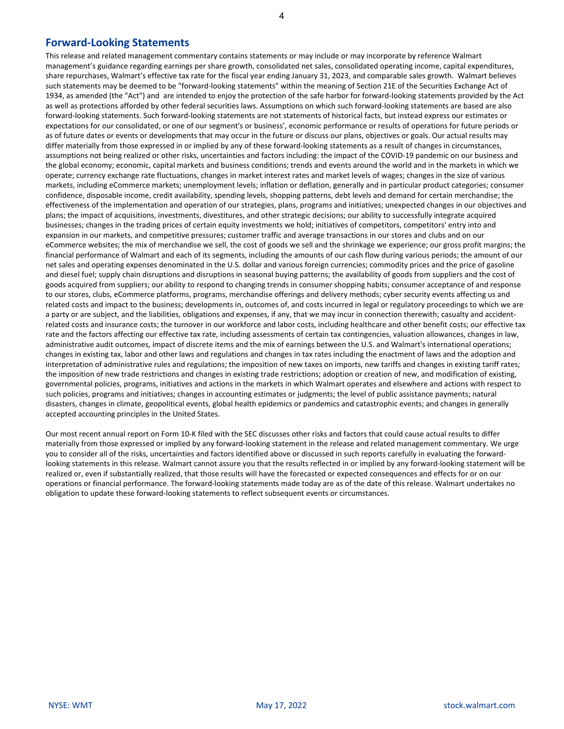# **Forward-Looking Statements**

This release and related management commentary contains statements or may include or may incorporate by reference Walmart management's guidance regarding earnings per share growth, consolidated net sales, consolidated operating income, capital expenditures, share repurchases, Walmart's effective tax rate for the fiscal year ending January 31, 2023, and comparable sales growth. Walmart believes such statements may be deemed to be "forward-looking statements" within the meaning of Section 21E of the Securities Exchange Act of 1934, as amended (the "Act") and are intended to enjoy the protection of the safe harbor for forward-looking statements provided by the Act as well as protections afforded by other federal securities laws. Assumptions on which such forward-looking statements are based are also forward-looking statements. Such forward-looking statements are not statements of historical facts, but instead express our estimates or expectations for our consolidated, or one of our segment's or business', economic performance or results of operations for future periods or as of future dates or events or developments that may occur in the future or discuss our plans, objectives or goals. Our actual results may differ materially from those expressed in or implied by any of these forward-looking statements as a result of changes in circumstances, assumptions not being realized or other risks, uncertainties and factors including: the impact of the COVID-19 pandemic on our business and the global economy; economic, capital markets and business conditions; trends and events around the world and in the markets in which we operate; currency exchange rate fluctuations, changes in market interest rates and market levels of wages; changes in the size of various markets, including eCommerce markets; unemployment levels; inflation or deflation, generally and in particular product categories; consumer confidence, disposable income, credit availability, spending levels, shopping patterns, debt levels and demand for certain merchandise; the effectiveness of the implementation and operation of our strategies, plans, programs and initiatives; unexpected changes in our objectives and plans; the impact of acquisitions, investments, divestitures, and other strategic decisions; our ability to successfully integrate acquired businesses; changes in the trading prices of certain equity investments we hold; initiatives of competitors, competitors' entry into and expansion in our markets, and competitive pressures; customer traffic and average transactions in our stores and clubs and on our eCommerce websites; the mix of merchandise we sell, the cost of goods we sell and the shrinkage we experience; our gross profit margins; the financial performance of Walmart and each of its segments, including the amounts of our cash flow during various periods; the amount of our net sales and operating expenses denominated in the U.S. dollar and various foreign currencies; commodity prices and the price of gasoline and diesel fuel; supply chain disruptions and disruptions in seasonal buying patterns; the availability of goods from suppliers and the cost of goods acquired from suppliers; our ability to respond to changing trends in consumer shopping habits; consumer acceptance of and response to our stores, clubs, eCommerce platforms, programs, merchandise offerings and delivery methods; cyber security events affecting us and related costs and impact to the business; developments in, outcomes of, and costs incurred in legal or regulatory proceedings to which we are a party or are subject, and the liabilities, obligations and expenses, if any, that we may incur in connection therewith; casualty and accidentrelated costs and insurance costs; the turnover in our workforce and labor costs, including healthcare and other benefit costs; our effective tax rate and the factors affecting our effective tax rate, including assessments of certain tax contingencies, valuation allowances, changes in law, administrative audit outcomes, impact of discrete items and the mix of earnings between the U.S. and Walmart's international operations; changes in existing tax, labor and other laws and regulations and changes in tax rates including the enactment of laws and the adoption and interpretation of administrative rules and regulations; the imposition of new taxes on imports, new tariffs and changes in existing tariff rates; the imposition of new trade restrictions and changes in existing trade restrictions; adoption or creation of new, and modification of existing, governmental policies, programs, initiatives and actions in the markets in which Walmart operates and elsewhere and actions with respect to such policies, programs and initiatives; changes in accounting estimates or judgments; the level of public assistance payments; natural disasters, changes in climate, geopolitical events, global health epidemics or pandemics and catastrophic events; and changes in generally accepted accounting principles in the United States.

Our most recent annual report on Form 10-K filed with the SEC discusses other risks and factors that could cause actual results to differ materially from those expressed or implied by any forward-looking statement in the release and related management commentary. We urge you to consider all of the risks, uncertainties and factors identified above or discussed in such reports carefully in evaluating the forwardlooking statements in this release. Walmart cannot assure you that the results reflected in or implied by any forward-looking statement will be realized or, even if substantially realized, that those results will have the forecasted or expected consequences and effects for or on our operations or financial performance. The forward-looking statements made today are as of the date of this release. Walmart undertakes no obligation to update these forward-looking statements to reflect subsequent events or circumstances.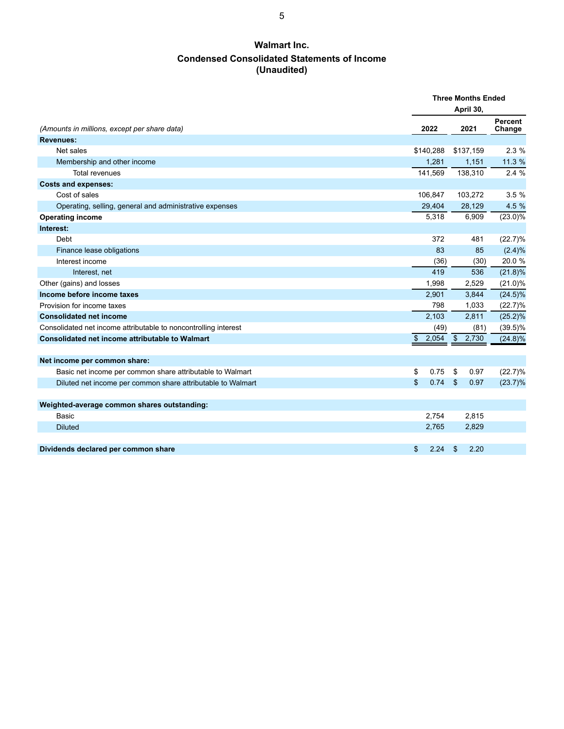# **Walmart Inc. Condensed Consolidated Statements of Income (Unaudited)**

|                                                                 |             | <b>Three Months Ended</b> |                          |  |  |
|-----------------------------------------------------------------|-------------|---------------------------|--------------------------|--|--|
|                                                                 |             | April 30,                 |                          |  |  |
| (Amounts in millions, except per share data)                    | 2022        | 2021                      | <b>Percent</b><br>Change |  |  |
| <b>Revenues:</b>                                                |             |                           |                          |  |  |
| Net sales                                                       | \$140,288   | \$137,159                 | 2.3%                     |  |  |
| Membership and other income                                     | 1,281       | 1,151                     | 11.3 %                   |  |  |
| Total revenues                                                  | 141,569     | 138,310                   | 2.4%                     |  |  |
| <b>Costs and expenses:</b>                                      |             |                           |                          |  |  |
| Cost of sales                                                   | 106,847     | 103,272                   | 3.5%                     |  |  |
| Operating, selling, general and administrative expenses         | 29,404      | 28,129                    | 4.5 %                    |  |  |
| <b>Operating income</b>                                         | 5,318       | 6,909                     | $(23.0)\%$               |  |  |
| Interest:                                                       |             |                           |                          |  |  |
| Debt                                                            | 372         | 481                       | (22.7)%                  |  |  |
| Finance lease obligations                                       | 83          | 85                        | $(2.4)\%$                |  |  |
| Interest income                                                 | (36)        | (30)                      | 20.0 %                   |  |  |
| Interest, net                                                   | 419         | 536                       | $(21.8)\%$               |  |  |
| Other (gains) and losses                                        | 1,998       | 2,529                     | $(21.0)\%$               |  |  |
| Income before income taxes                                      | 2,901       | 3,844                     | $(24.5)\%$               |  |  |
| Provision for income taxes                                      | 798         | 1,033                     | (22.7)%                  |  |  |
| <b>Consolidated net income</b>                                  | 2,103       | 2,811                     | $(25.2)\%$               |  |  |
| Consolidated net income attributable to noncontrolling interest | (49)        | (81)                      | $(39.5)\%$               |  |  |
| <b>Consolidated net income attributable to Walmart</b>          | \$<br>2,054 | $\sqrt[6]{3}$<br>2,730    | $(24.8)\%$               |  |  |
|                                                                 |             |                           |                          |  |  |
| Net income per common share:                                    |             |                           |                          |  |  |
| Basic net income per common share attributable to Walmart       | \$<br>0.75  | \$<br>0.97                | $(22.7)\%$               |  |  |
| Diluted net income per common share attributable to Walmart     | \$<br>0.74  | \$<br>0.97                | $(23.7)\%$               |  |  |
| Weighted-average common shares outstanding:                     |             |                           |                          |  |  |
| Basic                                                           | 2,754       | 2,815                     |                          |  |  |
| <b>Diluted</b>                                                  | 2,765       | 2,829                     |                          |  |  |
|                                                                 |             |                           |                          |  |  |
| Dividends declared per common share                             | \$<br>2.24  | 2.20<br>\$                |                          |  |  |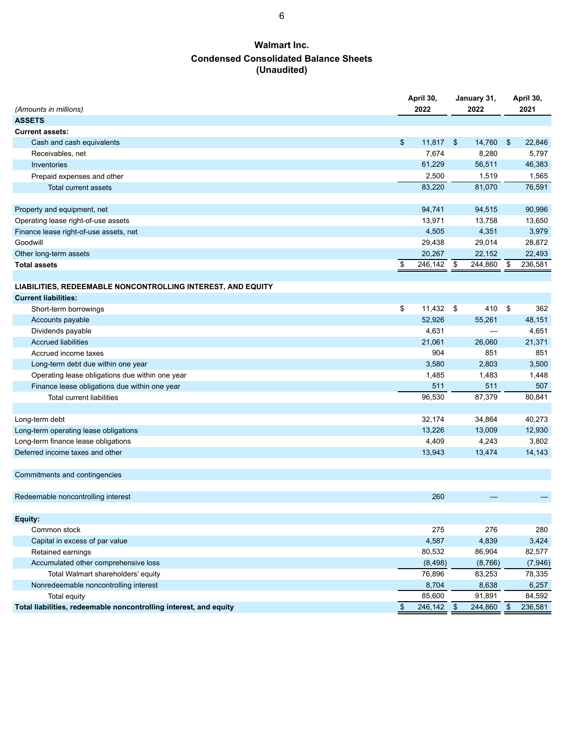# **Walmart Inc. Condensed Consolidated Balance Sheets (Unaudited)**

|                                                                   | April 30,        |    | January 31, |               | April 30, |
|-------------------------------------------------------------------|------------------|----|-------------|---------------|-----------|
| (Amounts in millions)                                             | 2022             |    | 2022        |               | 2021      |
| <b>ASSETS</b>                                                     |                  |    |             |               |           |
| <b>Current assets:</b>                                            |                  |    |             |               |           |
| Cash and cash equivalents                                         | \$<br>11,817     | \$ | 14,760      | \$            | 22,846    |
| Receivables, net                                                  | 7,674            |    | 8,280       |               | 5,797     |
| Inventories                                                       | 61,229           |    | 56,511      |               | 46,383    |
| Prepaid expenses and other                                        | 2,500            |    | 1,519       |               | 1,565     |
| <b>Total current assets</b>                                       | 83,220           |    | 81,070      |               | 76,591    |
|                                                                   |                  |    |             |               |           |
| Property and equipment, net                                       | 94,741           |    | 94,515      |               | 90,996    |
| Operating lease right-of-use assets                               | 13,971           |    | 13,758      |               | 13,650    |
| Finance lease right-of-use assets, net                            | 4,505            |    | 4,351       |               | 3,979     |
| Goodwill                                                          | 29,438           |    | 29,014      |               | 28,872    |
| Other long-term assets                                            | 20,267           |    | 22,152      |               | 22,493    |
| <b>Total assets</b>                                               | \$<br>246,142    | \$ | 244,860     | \$            | 236,581   |
|                                                                   |                  |    |             |               |           |
| LIABILITIES, REDEEMABLE NONCONTROLLING INTEREST, AND EQUITY       |                  |    |             |               |           |
| <b>Current liabilities:</b>                                       |                  |    |             |               |           |
| Short-term borrowings                                             | \$<br>11,432     | \$ | 410         | $^{\circ}$    | 362       |
| Accounts payable                                                  | 52,926           |    | 55,261      |               | 48,151    |
| Dividends payable                                                 | 4,631            |    |             |               | 4,651     |
| <b>Accrued liabilities</b>                                        | 21,061           |    | 26,060      |               | 21,371    |
| Accrued income taxes                                              | 904              |    | 851         |               | 851       |
| Long-term debt due within one year                                | 3,580            |    | 2,803       |               | 3,500     |
| Operating lease obligations due within one year                   | 1,485            |    | 1,483       |               | 1,448     |
| Finance lease obligations due within one year                     | 511              |    | 511         |               | 507       |
| <b>Total current liabilities</b>                                  | 96,530           |    | 87,379      |               | 80,841    |
|                                                                   |                  |    |             |               |           |
| Long-term debt                                                    | 32,174           |    | 34,864      |               | 40,273    |
| Long-term operating lease obligations                             | 13,226           |    | 13,009      |               | 12,930    |
| Long-term finance lease obligations                               | 4,409            |    | 4,243       |               | 3,802     |
| Deferred income taxes and other                                   | 13,943           |    | 13,474      |               | 14,143    |
|                                                                   |                  |    |             |               |           |
| Commitments and contingencies                                     |                  |    |             |               |           |
|                                                                   |                  |    |             |               |           |
| Redeemable noncontrolling interest                                | 260              |    |             |               |           |
|                                                                   |                  |    |             |               |           |
| Equity:                                                           |                  |    |             |               |           |
| Common stock                                                      | 275              |    | 276         |               | 280       |
| Capital in excess of par value                                    | 4,587            |    | 4,839       |               | 3,424     |
| Retained earnings                                                 | 80,532           |    | 86,904      |               | 82,577    |
| Accumulated other comprehensive loss                              | (8, 498)         |    | (8,766)     |               | (7, 946)  |
| Total Walmart shareholders' equity                                | 76,896           |    | 83,253      |               | 78,335    |
| Nonredeemable noncontrolling interest                             | 8,704            |    | 8,638       |               | 6,257     |
| Total equity                                                      | 85,600           |    | 91,891      |               | 84,592    |
| Total liabilities, redeemable noncontrolling interest, and equity | \$<br>246,142 \$ |    | 244,860     | $\sqrt[6]{3}$ | 236,581   |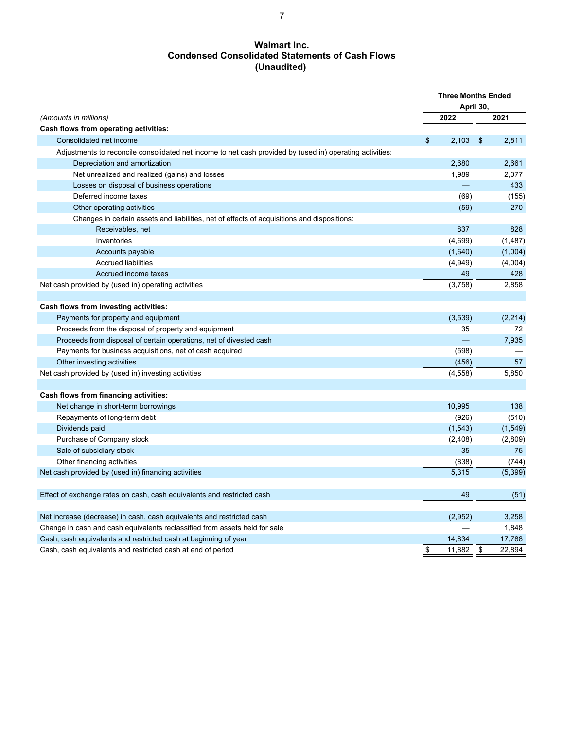### **Walmart Inc. Condensed Consolidated Statements of Cash Flows (Unaudited)**

|                                                                                                          | <b>Three Months Ended</b><br>April 30, |          |    |          |
|----------------------------------------------------------------------------------------------------------|----------------------------------------|----------|----|----------|
|                                                                                                          |                                        |          |    |          |
| (Amounts in millions)                                                                                    |                                        | 2022     |    | 2021     |
| <b>Cash flows from operating activities:</b>                                                             |                                        |          |    |          |
| Consolidated net income                                                                                  | \$                                     | 2,103    | \$ | 2,811    |
| Adjustments to reconcile consolidated net income to net cash provided by (used in) operating activities: |                                        |          |    |          |
| Depreciation and amortization                                                                            |                                        | 2,680    |    | 2,661    |
| Net unrealized and realized (gains) and losses                                                           |                                        | 1,989    |    | 2,077    |
| Losses on disposal of business operations                                                                |                                        |          |    | 433      |
| Deferred income taxes                                                                                    |                                        | (69)     |    | (155)    |
| Other operating activities                                                                               |                                        | (59)     |    | 270      |
| Changes in certain assets and liabilities, net of effects of acquisitions and dispositions:              |                                        |          |    |          |
| Receivables, net                                                                                         |                                        | 837      |    | 828      |
| Inventories                                                                                              |                                        | (4,699)  |    | (1, 487) |
| Accounts payable                                                                                         |                                        | (1,640)  |    | (1,004)  |
| <b>Accrued liabilities</b>                                                                               |                                        | (4,949)  |    | (4,004)  |
| Accrued income taxes                                                                                     |                                        | 49       |    | 428      |
| Net cash provided by (used in) operating activities                                                      |                                        | (3,758)  |    | 2,858    |
|                                                                                                          |                                        |          |    |          |
| Cash flows from investing activities:                                                                    |                                        |          |    |          |
| Payments for property and equipment                                                                      |                                        | (3,539)  |    | (2, 214) |
| Proceeds from the disposal of property and equipment                                                     |                                        | 35       |    | 72       |
| Proceeds from disposal of certain operations, net of divested cash                                       |                                        |          |    | 7,935    |
| Payments for business acquisitions, net of cash acquired                                                 |                                        | (598)    |    |          |
| Other investing activities                                                                               |                                        | (456)    |    | 57       |
| Net cash provided by (used in) investing activities                                                      |                                        | (4,558)  |    | 5,850    |
|                                                                                                          |                                        |          |    |          |
| Cash flows from financing activities:                                                                    |                                        |          |    |          |
| Net change in short-term borrowings                                                                      |                                        | 10,995   |    | 138      |
| Repayments of long-term debt                                                                             |                                        | (926)    |    | (510)    |
| Dividends paid                                                                                           |                                        | (1, 543) |    | (1, 549) |
| Purchase of Company stock                                                                                |                                        | (2,408)  |    | (2,809)  |
| Sale of subsidiary stock                                                                                 |                                        | 35       |    | 75       |
| Other financing activities                                                                               |                                        | (838)    |    | (744)    |
| Net cash provided by (used in) financing activities                                                      |                                        | 5,315    |    | (5, 399) |
|                                                                                                          |                                        |          |    |          |
| Effect of exchange rates on cash, cash equivalents and restricted cash                                   |                                        | 49       |    | (51)     |
|                                                                                                          |                                        |          |    |          |
| Net increase (decrease) in cash, cash equivalents and restricted cash                                    |                                        | (2,952)  |    | 3,258    |
| Change in cash and cash equivalents reclassified from assets held for sale                               |                                        |          |    | 1,848    |
| Cash, cash equivalents and restricted cash at beginning of year                                          |                                        | 14,834   |    | 17,788   |
| Cash, cash equivalents and restricted cash at end of period                                              | \$                                     | 11,882   | \$ | 22,894   |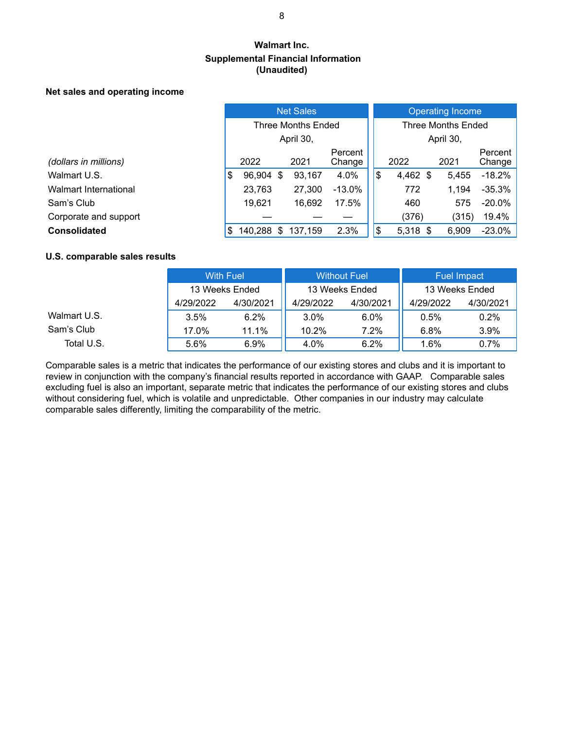# **Walmart Inc. Supplemental Financial Information (Unaudited)**

### **Net sales and operating income**

|                       |                           |         | <b>Net Sales</b> |           |                    |           | <b>Operating Income</b> |  |       |                   |  |
|-----------------------|---------------------------|---------|------------------|-----------|--------------------|-----------|-------------------------|--|-------|-------------------|--|
|                       | <b>Three Months Ended</b> |         |                  |           | Three Months Ended |           |                         |  |       |                   |  |
|                       |                           |         |                  | April 30, |                    | April 30, |                         |  |       |                   |  |
| (dollars in millions) |                           | 2022    |                  | 2021      | Percent<br>Change  |           | 2022                    |  | 2021  | Percent<br>Change |  |
| Walmart U.S.          | S                         | 96,904  | \$               | 93,167    | 4.0%               | \$        | 4,462 $$$               |  | 5,455 | $-18.2%$          |  |
| Walmart International |                           | 23,763  |                  | 27,300    | $-13.0\%$          |           | 772                     |  | 1,194 | $-35.3%$          |  |
| Sam's Club            |                           | 19,621  |                  | 16,692    | 17.5%              |           | 460                     |  | 575   | $-20.0\%$         |  |
| Corporate and support |                           |         |                  |           |                    |           | (376)                   |  | (315) | 19.4%             |  |
| <b>Consolidated</b>   |                           | 140,288 |                  | 137.159   | 2.3%               | \$        | 5,318 \$                |  | 6,909 | $-23.0%$          |  |

#### **U.S. comparable sales results**

|              | <b>With Fuel</b> |                |                | <b>Without Fuel</b> | <b>Fuel Impact</b> |                |  |  |
|--------------|------------------|----------------|----------------|---------------------|--------------------|----------------|--|--|
|              |                  | 13 Weeks Ended | 13 Weeks Ended |                     |                    | 13 Weeks Ended |  |  |
|              | 4/29/2022        | 4/30/2021      | 4/29/2022      | 4/30/2021           | 4/29/2022          | 4/30/2021      |  |  |
| Walmart U.S. | 3.5%             | 6.2%           | $3.0\%$        | 6.0%                | 0.5%               | 0.2%           |  |  |
| Sam's Club   | 17.0%            | 11.1%          | 10.2%          | 7.2%                | 6.8%               | 3.9%           |  |  |
| Total U.S.   | 5.6%             | 6.9%           | 4.0%           | 6.2%                | $1.6\%$            | $0.7\%$        |  |  |

Comparable sales is a metric that indicates the performance of our existing stores and clubs and it is important to review in conjunction with the company's financial results reported in accordance with GAAP. Comparable sales excluding fuel is also an important, separate metric that indicates the performance of our existing stores and clubs without considering fuel, which is volatile and unpredictable. Other companies in our industry may calculate comparable sales differently, limiting the comparability of the metric.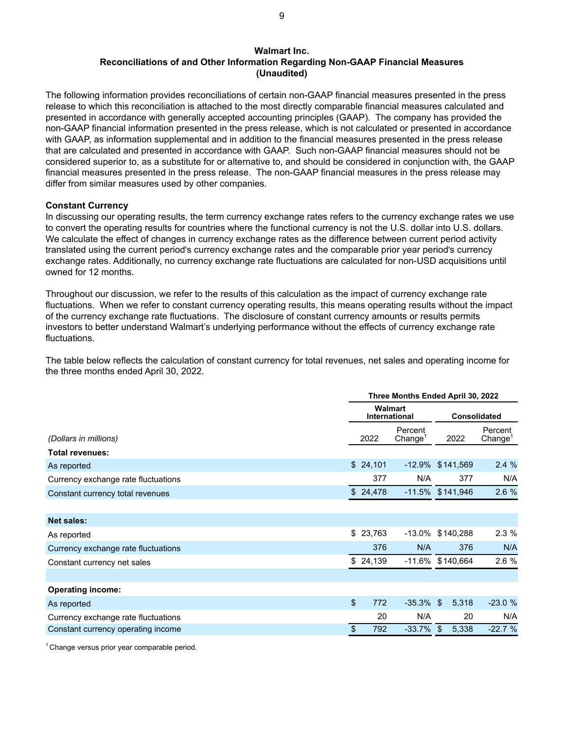#### **Walmart Inc. Reconciliations of and Other Information Regarding Non-GAAP Financial Measures (Unaudited)**

The following information provides reconciliations of certain non-GAAP financial measures presented in the press release to which this reconciliation is attached to the most directly comparable financial measures calculated and presented in accordance with generally accepted accounting principles (GAAP). The company has provided the non-GAAP financial information presented in the press release, which is not calculated or presented in accordance with GAAP, as information supplemental and in addition to the financial measures presented in the press release that are calculated and presented in accordance with GAAP. Such non-GAAP financial measures should not be considered superior to, as a substitute for or alternative to, and should be considered in conjunction with, the GAAP financial measures presented in the press release. The non-GAAP financial measures in the press release may differ from similar measures used by other companies.

#### **Constant Currency**

In discussing our operating results, the term currency exchange rates refers to the currency exchange rates we use to convert the operating results for countries where the functional currency is not the U.S. dollar into U.S. dollars. We calculate the effect of changes in currency exchange rates as the difference between current period activity translated using the current period's currency exchange rates and the comparable prior year period's currency exchange rates. Additionally, no currency exchange rate fluctuations are calculated for non-USD acquisitions until owned for 12 months.

Throughout our discussion, we refer to the results of this calculation as the impact of currency exchange rate fluctuations. When we refer to constant currency operating results, this means operating results without the impact of the currency exchange rate fluctuations. The disclosure of constant currency amounts or results permits investors to better understand Walmart's underlying performance without the effects of currency exchange rate fluctuations.

The table below reflects the calculation of constant currency for total revenues, net sales and operating income for the three months ended April 30, 2022.

|                                     |                         | Three Months Ended April 30, 2022 |                                |                     |                                |  |  |
|-------------------------------------|-------------------------|-----------------------------------|--------------------------------|---------------------|--------------------------------|--|--|
|                                     |                         | Walmart<br>International          |                                | <b>Consolidated</b> |                                |  |  |
| (Dollars in millions)               |                         | 2022                              | Percent<br>Change <sup>1</sup> | 2022                | Percent<br>Change <sup>1</sup> |  |  |
| <b>Total revenues:</b>              |                         |                                   |                                |                     |                                |  |  |
| As reported                         |                         | \$24,101                          | $-12.9%$                       | \$141,569           | 2.4%                           |  |  |
| Currency exchange rate fluctuations |                         | 377                               | N/A                            | 377                 | N/A                            |  |  |
| Constant currency total revenues    |                         | \$24,478                          |                                | $-11.5\%$ \$141,946 | 2.6 %                          |  |  |
|                                     |                         |                                   |                                |                     |                                |  |  |
| <b>Net sales:</b>                   |                         |                                   |                                |                     |                                |  |  |
| As reported                         |                         | \$23,763                          | -13.0%                         | \$140,288           | 2.3%                           |  |  |
| Currency exchange rate fluctuations |                         | 376                               | N/A                            | 376                 | N/A                            |  |  |
| Constant currency net sales         | S.                      | 24,139                            |                                | $-11.6\%$ \$140,664 | 2.6 %                          |  |  |
|                                     |                         |                                   |                                |                     |                                |  |  |
| <b>Operating income:</b>            |                         |                                   |                                |                     |                                |  |  |
| As reported                         | $\sqrt[6]{\frac{1}{2}}$ | 772                               | $-35.3\%$ \$                   | 5,318               | $-23.0%$                       |  |  |
| Currency exchange rate fluctuations |                         | 20                                | N/A                            | 20                  | N/A                            |  |  |
| Constant currency operating income  | \$                      | 792                               | $-33.7%$                       | \$<br>5,338         | $-22.7%$                       |  |  |

 $1$ Change versus prior year comparable period.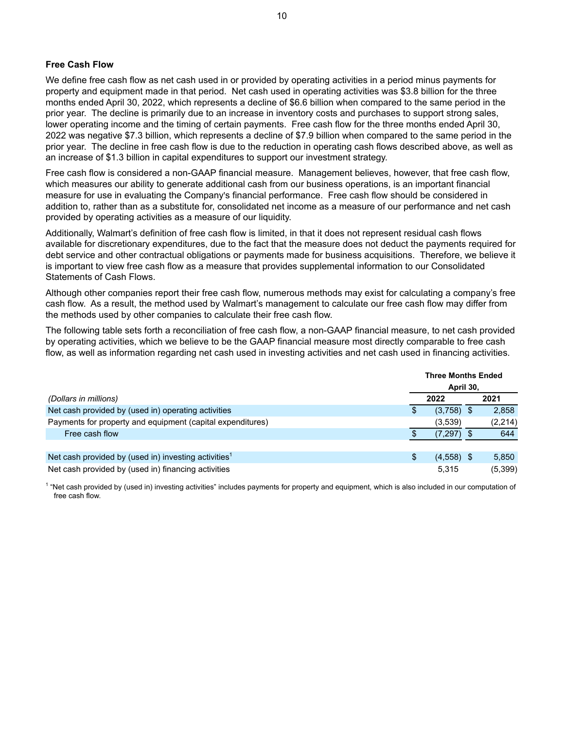#### **Free Cash Flow**

We define free cash flow as net cash used in or provided by operating activities in a period minus payments for property and equipment made in that period. Net cash used in operating activities was \$3.8 billion for the three months ended April 30, 2022, which represents a decline of \$6.6 billion when compared to the same period in the prior year. The decline is primarily due to an increase in inventory costs and purchases to support strong sales, lower operating income and the timing of certain payments. Free cash flow for the three months ended April 30, 2022 was negative \$7.3 billion, which represents a decline of \$7.9 billion when compared to the same period in the prior year. The decline in free cash flow is due to the reduction in operating cash flows described above, as well as an increase of \$1.3 billion in capital expenditures to support our investment strategy.

Free cash flow is considered a non-GAAP financial measure. Management believes, however, that free cash flow, which measures our ability to generate additional cash from our business operations, is an important financial measure for use in evaluating the Company's financial performance. Free cash flow should be considered in addition to, rather than as a substitute for, consolidated net income as a measure of our performance and net cash provided by operating activities as a measure of our liquidity.

Additionally, Walmart's definition of free cash flow is limited, in that it does not represent residual cash flows available for discretionary expenditures, due to the fact that the measure does not deduct the payments required for debt service and other contractual obligations or payments made for business acquisitions. Therefore, we believe it is important to view free cash flow as a measure that provides supplemental information to our Consolidated Statements of Cash Flows.

Although other companies report their free cash flow, numerous methods may exist for calculating a company's free cash flow. As a result, the method used by Walmart's management to calculate our free cash flow may differ from the methods used by other companies to calculate their free cash flow.

The following table sets forth a reconciliation of free cash flow, a non-GAAP financial measure, to net cash provided by operating activities, which we believe to be the GAAP financial measure most directly comparable to free cash flow, as well as information regarding net cash used in investing activities and net cash used in financing activities.

|                                                                  | <b>Three Months Ended</b> |              |  |          |  |
|------------------------------------------------------------------|---------------------------|--------------|--|----------|--|
|                                                                  |                           | April 30,    |  |          |  |
| (Dollars in millions)                                            | 2022                      |              |  | 2021     |  |
| Net cash provided by (used in) operating activities              | \$                        | $(3,758)$ \$ |  | 2,858    |  |
| Payments for property and equipment (capital expenditures)       |                           | (3,539)      |  | (2, 214) |  |
| Free cash flow                                                   |                           | $(7,297)$ \$ |  | 644      |  |
|                                                                  |                           |              |  |          |  |
| Net cash provided by (used in) investing activities <sup>1</sup> | \$.                       | $(4,558)$ \$ |  | 5,850    |  |
| Net cash provided by (used in) financing activities              |                           | 5,315        |  | (5, 399) |  |

<sup>1</sup> "Net cash provided by (used in) investing activities" includes payments for property and equipment, which is also included in our computation of free cash flow.